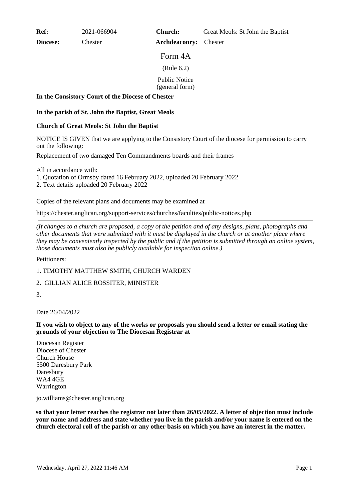**Ref:** 2021-066904

**Diocese:** Chester

**Church:** Great Meols: St John the Baptist

**Archdeaconry:** Chester

Form 4A

(Rule 6.2)

Public Notice

(general form)

#### **In the Consistory Court of the Diocese of Chester**

## **In the parish of St. John the Baptist, Great Meols**

## **Church of Great Meols: St John the Baptist**

NOTICE IS GIVEN that we are applying to the Consistory Court of the diocese for permission to carry out the following:

Replacement of two damaged Ten Commandments boards and their frames

All in accordance with:

1. Quotation of Ormsby dated 16 February 2022, uploaded 20 February 2022

2. Text details uploaded 20 February 2022

Copies of the relevant plans and documents may be examined at

https://chester.anglican.org/support-services/churches/faculties/public-notices.php

*(If changes to a church are proposed, a copy of the petition and of any designs, plans, photographs and other documents that were submitted with it must be displayed in the church or at another place where they may be conveniently inspected by the public and if the petition is submitted through an online system, those documents must also be publicly available for inspection online.)*

Petitioners:

1. TIMOTHY MATTHEW SMITH, CHURCH WARDEN

# 2. GILLIAN ALICE ROSSITER, MINISTER

3.

Date 26/04/2022

**If you wish to object to any of the works or proposals you should send a letter or email stating the grounds of your objection to The Diocesan Registrar at**

Diocesan Register Diocese of Chester Church House 5500 Daresbury Park Daresbury WA4 4GE Warrington

jo.williams@chester.anglican.org

**so that your letter reaches the registrar not later than 26/05/2022. A letter of objection must include your name and address and state whether you live in the parish and/or your name is entered on the church electoral roll of the parish or any other basis on which you have an interest in the matter.**